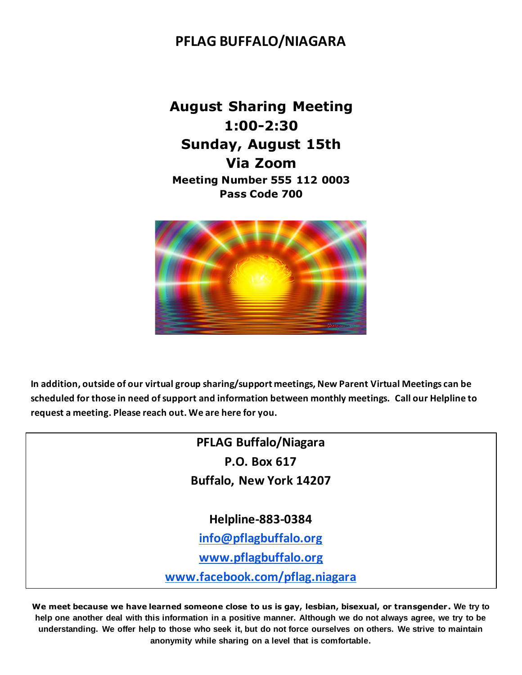## **PFLAG BUFFALO/NIAGARA**

**August Sharing Meeting 1:00-2:30 Sunday, August 15th Via Zoom Meeting Number 555 112 0003 Pass Code 700**



In addition, outside of our virtual group sharing/support meetings, New Parent Virtual Meetings can be **scheduled for those in need of support and information between monthly meetings. Call our Helpline to request a meeting. Please reach out. We are here for you. 883-0384**

> **PFLAG Buffalo/Niagara P.O. Box 617 Buffalo, New York 14207**

> > **Helpline-883-0384**

**[info@pflagbuffalo.org](mailto:info@pflagbuffalo.org)**

**[www.pflagbuffalo.org](http://www.pflagbuffalo.org/)**

**[www.facebook.com/pflag.niagara](http://www.facebook.com/pflag.niagara)**

**We meet because we have learned someone close to us is gay, lesbian, bisexual, or transgender. We try to help one another deal with this information in a positive manner. Although we do not always agree, we try to be understanding. We offer help to those who seek it, but do not force ourselves on others. We strive to maintain anonymity while sharing on a level that is comfortable.**